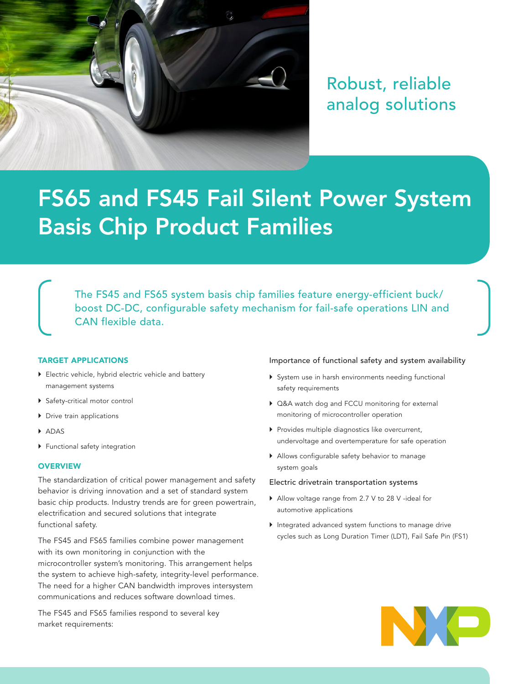

Robust, reliable analog solutions

# FS65 and FS45 Fail Silent Power System Basis Chip Product Families

The FS45 and FS65 system basis chip families feature energy-efficient buck/ boost DC-DC, configurable safety mechanism for fail-safe operations LIN and CAN flexible data.

#### TARGET APPLICATIONS

- ▶ Electric vehicle, hybrid electric vehicle and battery management systems
- } Safety-critical motor control
- ▶ Drive train applications
- } ADAS
- } Functional safety integration

#### **OVERVIEW**

The standardization of critical power management and safety behavior is driving innovation and a set of standard system basic chip products. Industry trends are for green powertrain, electrification and secured solutions that integrate functional safety.

The FS45 and FS65 families combine power management with its own monitoring in conjunction with the microcontroller system's monitoring. This arrangement helps the system to achieve high-safety, integrity-level performance. The need for a higher CAN bandwidth improves intersystem communications and reduces software download times.

The FS45 and FS65 families respond to several key market requirements:

#### Importance of functional safety and system availability

- } System use in harsh environments needing functional safety requirements
- } Q&A watch dog and FCCU monitoring for external monitoring of microcontroller operation
- } Provides multiple diagnostics like overcurrent, undervoltage and overtemperature for safe operation
- } Allows configurable safety behavior to manage system goals

#### Electric drivetrain transportation systems

- } Allow voltage range from 2.7 V to 28 V -ideal for automotive applications
- } Integrated advanced system functions to manage drive cycles such as Long Duration Timer (LDT), Fail Safe Pin (FS1)

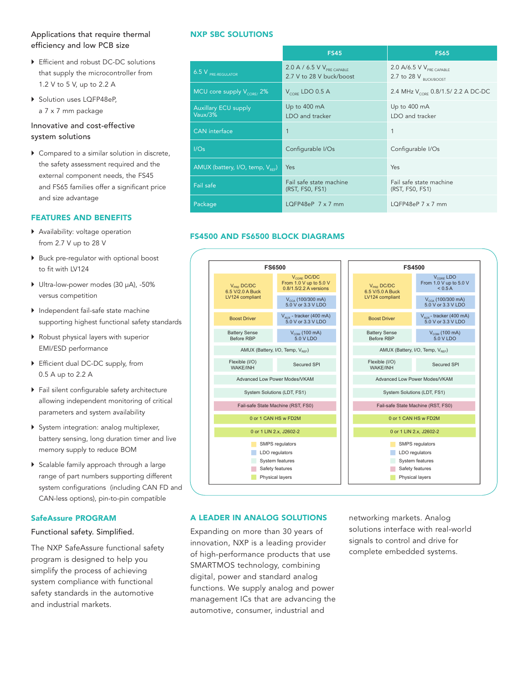### Applications that require thermal efficiency and low PCB size

- ▶ Efficient and robust DC-DC solutions that supply the microcontroller from 1.2 V to 5 V, up to 2.2 A
- ▶ Solution uses LQFP48eP, a 7 x 7 mm package

## Innovative and cost-effective system solutions

▶ Compared to a similar solution in discrete, the safety assessment required and the external component needs, the FS45 and FS65 families offer a significant price and size advantage

#### FEATURES AND BENEFITS

- } Availability: voltage operation from 2.7 V up to 28 V
- } Buck pre-regulator with optional boost to fit with LV124
- } Ultra-low-power modes (30 µA), -50% versus competition
- } Independent fail-safe state machine supporting highest functional safety standards
- } Robust physical layers with superior EMI/ESD performance
- ▶ Efficient dual DC-DC supply, from 0.5 A up to 2.2 A
- } Fail silent configurable safety architecture allowing independent monitoring of critical parameters and system availability
- } System integration: analog multiplexer, battery sensing, long duration timer and live memory supply to reduce BOM
- } Scalable family approach through a large range of part numbers supporting different system configurations (including CAN FD and CAN-less options), pin-to-pin compatible

#### SafeAssure PROGRAM

#### Functional safety. Simplified.

The NXP SafeAssure functional safety program is designed to help you simplify the process of achieving system compliance with functional safety standards in the automotive and industrial markets.

#### NXP SBC SOLUTIONS

|                                              | <b>FS45</b>                                                 | <b>FS65</b>                                                          |
|----------------------------------------------|-------------------------------------------------------------|----------------------------------------------------------------------|
| $6.5$ V $_{PRE-REGULATOR}$                   | 2.0 A / 6.5 V $V_{PRE}$ capable<br>2.7 V to 28 V buck/boost | 2.0 A/6.5 V $V_{PRE\ CAPABLE}$<br>2.7 to 28 $V_{\text{RILCK/ROOST}}$ |
| MCU core supply $V_{\text{CORF}}$ 2%         | $V_{\text{CORE}}$ LDO 0.5 A                                 | 2.4 MHz V <sub>CORE</sub> 0.8/1.5/ 2.2 A DC-DC                       |
| <b>Auxiliary ECU supply</b><br>Vaux/3%       | Up to 400 mA<br>LDO and tracker                             | Up to 400 mA<br>LDO and tracker                                      |
| <b>CAN</b> interface                         | $\mathbf{1}$                                                | 1                                                                    |
| I/Os                                         | Configurable I/Os                                           | Configurable I/Os                                                    |
| AMUX (battery, I/O, temp, V <sub>pec</sub> ) | Yes                                                         | Yes                                                                  |
| Fail safe                                    | Fail safe state machine<br>(RST, FS0, FS1)                  | Fail safe state machine<br>(RST, FS0, FS1)                           |
| <b>Package</b>                               | LQFP48eP $7 \times 7$ mm                                    | LQFP48eP $7 \times 7$ mm                                             |

# FS4500 AND FS6500 BLOCK DIAGRAMS FS4500 AND FS6500 BLOCK DIAGRAMS



#### A LEADER IN ANALOG SOLUTIONS

Expanding on more than 30 years of innovation, NXP is a leading provider of high-performance products that use SMARTMOS technology, combining digital, power and standard analog functions. We supply analog and power management ICs that are advancing the automotive, consumer, industrial and

networking markets. Analog solutions interface with real-world signals to control and drive for complete embedded systems.